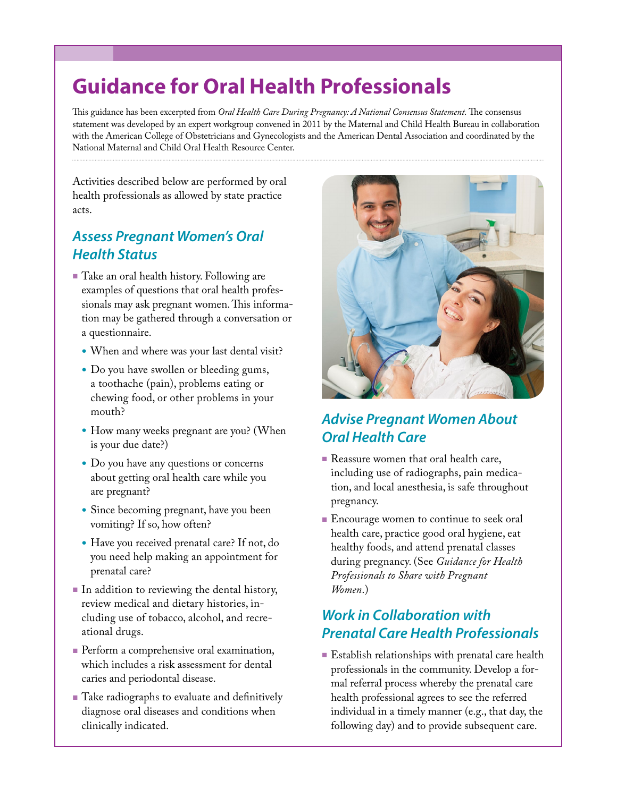# **Guidance for Oral Health Professionals**

This guidance has been excerpted from *Oral Health Care During Pregnancy: A National Consensus Statement.* The consensus statement was developed by an expert workgroup convened in 2011 by the Maternal and Child Health Bureau in collaboration with the American College of Obstetricians and Gynecologists and the American Dental Association and coordinated by the National Maternal and Child Oral Health Resource Center.

Activities described below are performed by oral health professionals as allowed by state practice acts.

## *Assess Pregnant Women's Oral Health Status*

- Take an oral health history. Following are examples of questions that oral health professionals may ask pregnant women. This information may be gathered through a conversation or a questionnaire.
	- When and where was your last dental visit?
	- Do you have swollen or bleeding gums, a toothache (pain), problems eating or chewing food, or other problems in your mouth?
	- How many weeks pregnant are you? (When is your due date?)
	- Do you have any questions or concerns about getting oral health care while you are pregnant?
	- Since becoming pregnant, have you been vomiting? If so, how often?
	- Have you received prenatal care? If not, do you need help making an appointment for prenatal care?
- In addition to reviewing the dental history, review medical and dietary histories, including use of tobacco, alcohol, and recreational drugs.
- **Perform a comprehensive oral examination,** which includes a risk assessment for dental caries and periodontal disease.
- Take radiographs to evaluate and definitively diagnose oral diseases and conditions when clinically indicated.



## *Advise Pregnant Women About Oral Health Care*

- Reassure women that oral health care, including use of radiographs, pain medication, and local anesthesia, is safe throughout pregnancy.
- **Encourage women to continue to seek oral** health care, practice good oral hygiene, eat healthy foods, and attend prenatal classes during pregnancy. (See *Guidance for Health Professionals to Share with Pregnant Women*.)

#### *Work in Collaboration with Prenatal Care Health Professionals*

■ Establish relationships with prenatal care health professionals in the community. Develop a formal referral process whereby the prenatal care health professional agrees to see the referred individual in a timely manner (e.g., that day, the following day) and to provide subsequent care.